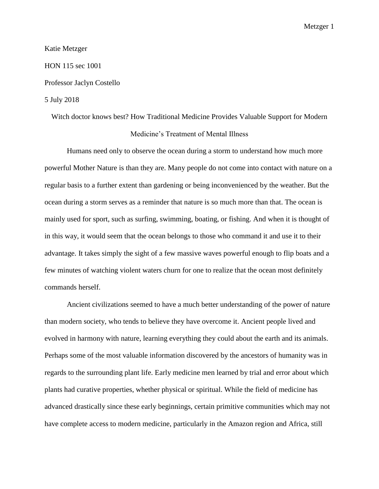#### Katie Metzger

### HON 115 sec 1001

### Professor Jaclyn Costello

### 5 July 2018

# Witch doctor knows best? How Traditional Medicine Provides Valuable Support for Modern Medicine's Treatment of Mental Illness

Humans need only to observe the ocean during a storm to understand how much more powerful Mother Nature is than they are. Many people do not come into contact with nature on a regular basis to a further extent than gardening or being inconvenienced by the weather. But the ocean during a storm serves as a reminder that nature is so much more than that. The ocean is mainly used for sport, such as surfing, swimming, boating, or fishing. And when it is thought of in this way, it would seem that the ocean belongs to those who command it and use it to their advantage. It takes simply the sight of a few massive waves powerful enough to flip boats and a few minutes of watching violent waters churn for one to realize that the ocean most definitely commands herself.

Ancient civilizations seemed to have a much better understanding of the power of nature than modern society, who tends to believe they have overcome it. Ancient people lived and evolved in harmony with nature, learning everything they could about the earth and its animals. Perhaps some of the most valuable information discovered by the ancestors of humanity was in regards to the surrounding plant life. Early medicine men learned by trial and error about which plants had curative properties, whether physical or spiritual. While the field of medicine has advanced drastically since these early beginnings, certain primitive communities which may not have complete access to modern medicine, particularly in the Amazon region and Africa, still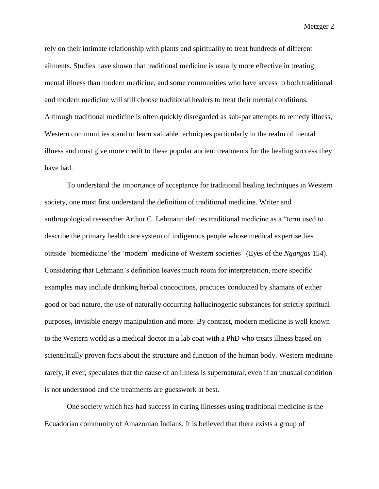rely on their intimate relationship with plants and spirituality to treat hundreds of different ailments. Studies have shown that traditional medicine is usually more effective in treating mental illness than modern medicine, and some communities who have access to both traditional and modern medicine will still choose traditional healers to treat their mental conditions. Although traditional medicine is often quickly disregarded as sub-par attempts to remedy illness, Western communities stand to learn valuable techniques particularly in the realm of mental illness and must give more credit to these popular ancient treatments for the healing success they have had.

To understand the importance of acceptance for traditional healing techniques in Western society, one must first understand the definition of traditional medicine. Writer and anthropological researcher Arthur C. Lehmann defines traditional medicine as a "term used to describe the primary health care system of indigenous people whose medical expertise lies outside 'biomedicine' the 'modern' medicine of Western societies" (Eyes of the *Ngangas* 154). Considering that Lehmann's definition leaves much room for interpretation, more specific examples may include drinking herbal concoctions, practices conducted by shamans of either good or bad nature, the use of naturally occurring hallucinogenic substances for strictly spiritual purposes, invisible energy manipulation and more. By contrast, modern medicine is well known to the Western world as a medical doctor in a lab coat with a PhD who treats illness based on scientifically proven facts about the structure and function of the human body. Western medicine rarely, if ever, speculates that the cause of an illness is supernatural, even if an unusual condition is not understood and the treatments are guesswork at best.

One society which has had success in curing illnesses using traditional medicine is the Ecuadorian community of Amazonian Indians. It is believed that there exists a group of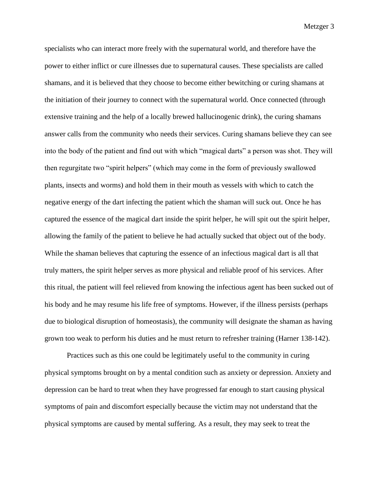specialists who can interact more freely with the supernatural world, and therefore have the power to either inflict or cure illnesses due to supernatural causes. These specialists are called shamans, and it is believed that they choose to become either bewitching or curing shamans at the initiation of their journey to connect with the supernatural world. Once connected (through extensive training and the help of a locally brewed hallucinogenic drink), the curing shamans answer calls from the community who needs their services. Curing shamans believe they can see into the body of the patient and find out with which "magical darts" a person was shot. They will then regurgitate two "spirit helpers" (which may come in the form of previously swallowed plants, insects and worms) and hold them in their mouth as vessels with which to catch the negative energy of the dart infecting the patient which the shaman will suck out. Once he has captured the essence of the magical dart inside the spirit helper, he will spit out the spirit helper, allowing the family of the patient to believe he had actually sucked that object out of the body. While the shaman believes that capturing the essence of an infectious magical dart is all that truly matters, the spirit helper serves as more physical and reliable proof of his services. After this ritual, the patient will feel relieved from knowing the infectious agent has been sucked out of his body and he may resume his life free of symptoms. However, if the illness persists (perhaps due to biological disruption of homeostasis), the community will designate the shaman as having grown too weak to perform his duties and he must return to refresher training (Harner 138-142).

Practices such as this one could be legitimately useful to the community in curing physical symptoms brought on by a mental condition such as anxiety or depression. Anxiety and depression can be hard to treat when they have progressed far enough to start causing physical symptoms of pain and discomfort especially because the victim may not understand that the physical symptoms are caused by mental suffering. As a result, they may seek to treat the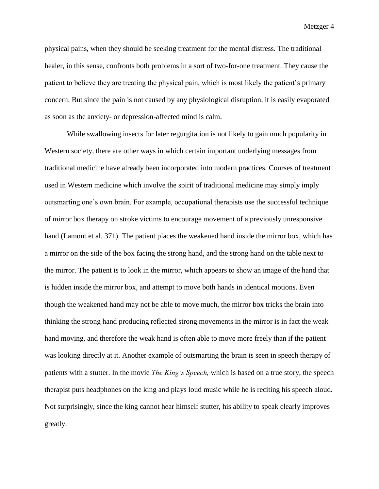physical pains, when they should be seeking treatment for the mental distress. The traditional healer, in this sense, confronts both problems in a sort of two-for-one treatment. They cause the patient to believe they are treating the physical pain, which is most likely the patient's primary concern. But since the pain is not caused by any physiological disruption, it is easily evaporated as soon as the anxiety- or depression-affected mind is calm.

While swallowing insects for later regurgitation is not likely to gain much popularity in Western society, there are other ways in which certain important underlying messages from traditional medicine have already been incorporated into modern practices. Courses of treatment used in Western medicine which involve the spirit of traditional medicine may simply imply outsmarting one's own brain. For example, occupational therapists use the successful technique of mirror box therapy on stroke victims to encourage movement of a previously unresponsive hand (Lamont et al. 371). The patient places the weakened hand inside the mirror box, which has a mirror on the side of the box facing the strong hand, and the strong hand on the table next to the mirror. The patient is to look in the mirror, which appears to show an image of the hand that is hidden inside the mirror box, and attempt to move both hands in identical motions. Even though the weakened hand may not be able to move much, the mirror box tricks the brain into thinking the strong hand producing reflected strong movements in the mirror is in fact the weak hand moving, and therefore the weak hand is often able to move more freely than if the patient was looking directly at it. Another example of outsmarting the brain is seen in speech therapy of patients with a stutter. In the movie *The King's Speech,* which is based on a true story, the speech therapist puts headphones on the king and plays loud music while he is reciting his speech aloud. Not surprisingly, since the king cannot hear himself stutter, his ability to speak clearly improves greatly.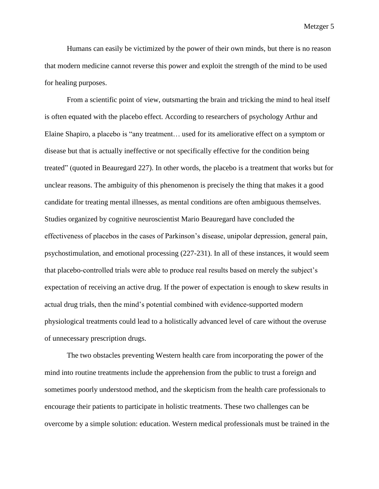Humans can easily be victimized by the power of their own minds, but there is no reason that modern medicine cannot reverse this power and exploit the strength of the mind to be used for healing purposes.

From a scientific point of view, outsmarting the brain and tricking the mind to heal itself is often equated with the placebo effect. According to researchers of psychology Arthur and Elaine Shapiro, a placebo is "any treatment… used for its ameliorative effect on a symptom or disease but that is actually ineffective or not specifically effective for the condition being treated" (quoted in Beauregard 227). In other words, the placebo is a treatment that works but for unclear reasons. The ambiguity of this phenomenon is precisely the thing that makes it a good candidate for treating mental illnesses, as mental conditions are often ambiguous themselves. Studies organized by cognitive neuroscientist Mario Beauregard have concluded the effectiveness of placebos in the cases of Parkinson's disease, unipolar depression, general pain, psychostimulation, and emotional processing (227-231). In all of these instances, it would seem that placebo-controlled trials were able to produce real results based on merely the subject's expectation of receiving an active drug. If the power of expectation is enough to skew results in actual drug trials, then the mind's potential combined with evidence-supported modern physiological treatments could lead to a holistically advanced level of care without the overuse of unnecessary prescription drugs.

The two obstacles preventing Western health care from incorporating the power of the mind into routine treatments include the apprehension from the public to trust a foreign and sometimes poorly understood method, and the skepticism from the health care professionals to encourage their patients to participate in holistic treatments. These two challenges can be overcome by a simple solution: education. Western medical professionals must be trained in the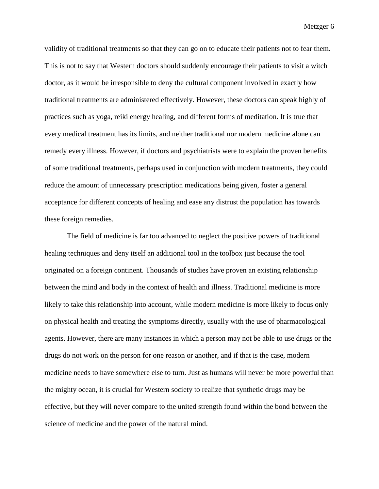validity of traditional treatments so that they can go on to educate their patients not to fear them. This is not to say that Western doctors should suddenly encourage their patients to visit a witch doctor, as it would be irresponsible to deny the cultural component involved in exactly how traditional treatments are administered effectively. However, these doctors can speak highly of practices such as yoga, reiki energy healing, and different forms of meditation. It is true that every medical treatment has its limits, and neither traditional nor modern medicine alone can remedy every illness. However, if doctors and psychiatrists were to explain the proven benefits of some traditional treatments, perhaps used in conjunction with modern treatments, they could reduce the amount of unnecessary prescription medications being given, foster a general acceptance for different concepts of healing and ease any distrust the population has towards these foreign remedies.

The field of medicine is far too advanced to neglect the positive powers of traditional healing techniques and deny itself an additional tool in the toolbox just because the tool originated on a foreign continent. Thousands of studies have proven an existing relationship between the mind and body in the context of health and illness. Traditional medicine is more likely to take this relationship into account, while modern medicine is more likely to focus only on physical health and treating the symptoms directly, usually with the use of pharmacological agents. However, there are many instances in which a person may not be able to use drugs or the drugs do not work on the person for one reason or another, and if that is the case, modern medicine needs to have somewhere else to turn. Just as humans will never be more powerful than the mighty ocean, it is crucial for Western society to realize that synthetic drugs may be effective, but they will never compare to the united strength found within the bond between the science of medicine and the power of the natural mind.